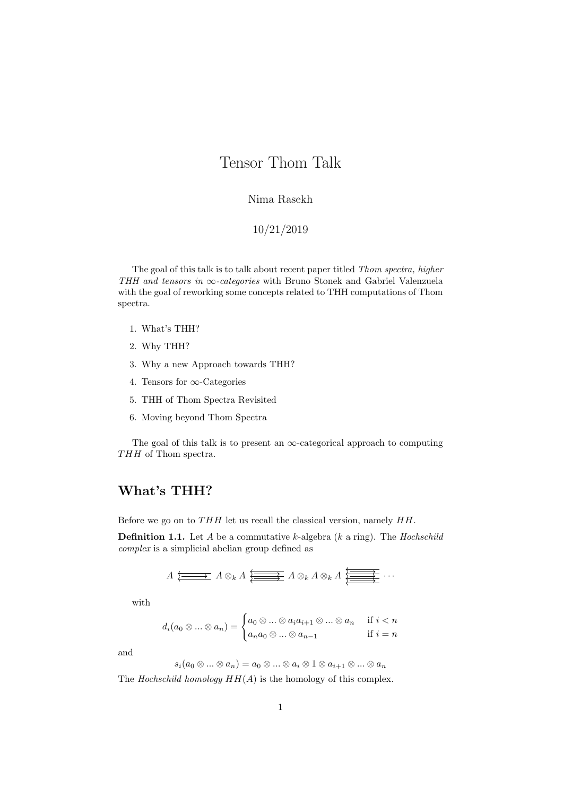# Tensor Thom Talk

#### Nima Rasekh

#### 10/21/2019

The goal of this talk is to talk about recent paper titled Thom spectra, higher THH and tensors in  $\infty$ -categories with Bruno Stonek and Gabriel Valenzuela with the goal of reworking some concepts related to THH computations of Thom spectra.

- 1. What's THH?
- 2. Why THH?
- 3. Why a new Approach towards THH?
- 4. Tensors for ∞-Categories
- 5. THH of Thom Spectra Revisited
- 6. Moving beyond Thom Spectra

The goal of this talk is to present an  $\infty$ -categorical approach to computing  $THH$  of Thom spectra.

#### What's THH?

Before we go on to  $THH$  let us recall the classical version, namely  $HH$ .

**Definition 1.1.** Let  $A$  be a commutative  $k$ -algebra  $(k \text{ a ring})$ . The *Hochschild* complex is a simplicial abelian group defined as

$$
A \xleftarrow{\longrightarrow} A \otimes_k A \xleftarrow{\longrightarrow} A \otimes_k A \otimes_k A \xleftarrow{\longrightarrow}{\longrightarrow} \cdots
$$

with

$$
d_i(a_0 \otimes \ldots \otimes a_n) = \begin{cases} a_0 \otimes \ldots \otimes a_i a_{i+1} \otimes \ldots \otimes a_n & \text{if } i < n \\ a_n a_0 \otimes \ldots \otimes a_{n-1} & \text{if } i = n \end{cases}
$$

and

$$
s_i(a_0\otimes\ldots\otimes a_n)=a_0\otimes\ldots\otimes a_i\otimes 1\otimes a_{i+1}\otimes\ldots\otimes a_n
$$

The Hochschild homology  $HH(A)$  is the homology of this complex.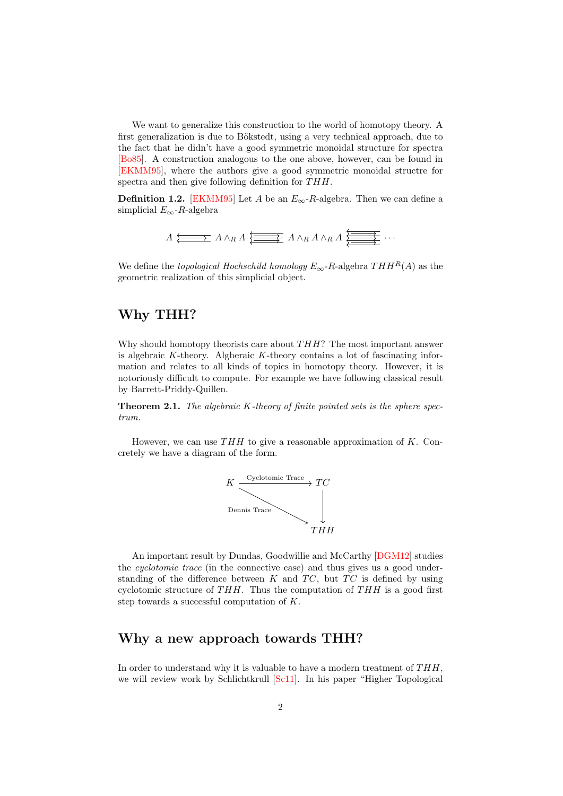We want to generalize this construction to the world of homotopy theory. A first generalization is due to Bökstedt, using a very technical approach, due to the fact that he didn't have a good symmetric monoidal structure for spectra [\[Bo85\]](#page-8-0). A construction analogous to the one above, however, can be found in [\[EKMM95\]](#page-8-1), where the authors give a good symmetric monoidal structre for spectra and then give following definition for THH.

**Definition 1.2.** [\[EKMM95\]](#page-8-1) Let A be an  $E_{\infty}$ -R-algebra. Then we can define a simplicial  $E_{\infty}$ -R-algebra

$$
A \xleftarrow{\longrightarrow} A \wedge_R A \xleftarrow{\longrightarrow} A \wedge_R A \wedge_R A \xleftarrow{\longrightarrow}{\longrightarrow} \cdots
$$

We define the *topological Hochschild homology*  $E_{\infty}$ -R-algebra  $THH^{R}(A)$  as the geometric realization of this simplicial object.

# Why THH?

Why should homotopy theorists care about  $THH$ ? The most important answer is algebraic  $K$ -theory. Algberaic  $K$ -theory contains a lot of fascinating information and relates to all kinds of topics in homotopy theory. However, it is notoriously difficult to compute. For example we have following classical result by Barrett-Priddy-Quillen.

**Theorem 2.1.** The algebraic  $K$ -theory of finite pointed sets is the sphere spectrum.

However, we can use  $THH$  to give a reasonable approximation of K. Concretely we have a diagram of the form.



An important result by Dundas, Goodwillie and McCarthy [\[DGM12\]](#page-8-2) studies the *cyclotomic trace* (in the connective case) and thus gives us a good understanding of the difference between  $K$  and  $TC$ , but  $TC$  is defined by using cyclotomic structure of THH. Thus the computation of  $THH$  is a good first step towards a successful computation of K.

# Why a new approach towards THH?

In order to understand why it is valuable to have a modern treatment of  $THH$ . we will review work by Schlichtkrull [\[Sc11\]](#page-8-3). In his paper "Higher Topological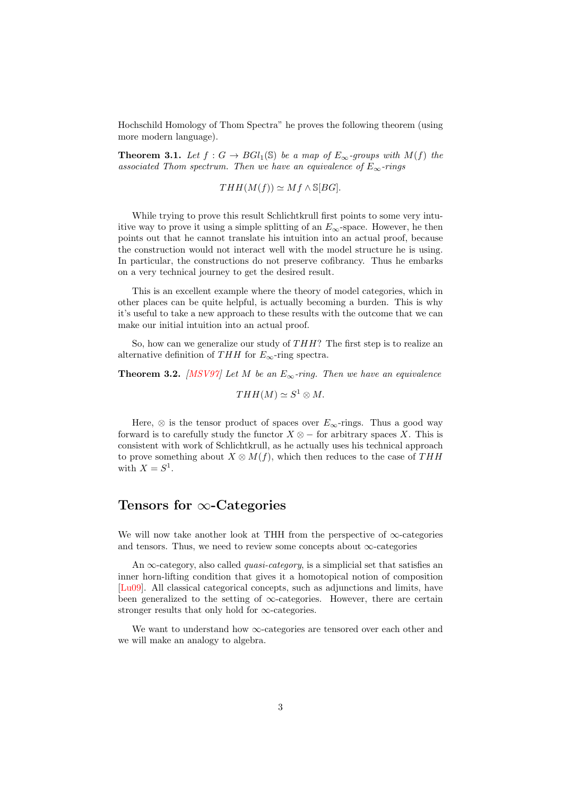Hochschild Homology of Thom Spectra" he proves the following theorem (using more modern language).

**Theorem 3.1.** Let  $f : G \to BGl_1(\mathbb{S})$  be a map of  $E_{\infty}$ -groups with  $M(f)$  the associated Thom spectrum. Then we have an equivalence of  $E_{\infty}$ -rings

$$
THH(M(f)) \simeq Mf \wedge \mathbb{S}[BG].
$$

While trying to prove this result Schlichtkrull first points to some very intuitive way to prove it using a simple splitting of an  $E_{\infty}$ -space. However, he then points out that he cannot translate his intuition into an actual proof, because the construction would not interact well with the model structure he is using. In particular, the constructions do not preserve cofibrancy. Thus he embarks on a very technical journey to get the desired result.

This is an excellent example where the theory of model categories, which in other places can be quite helpful, is actually becoming a burden. This is why it's useful to take a new approach to these results with the outcome that we can make our initial intuition into an actual proof.

So, how can we generalize our study of  $THH$ ? The first step is to realize an alternative definition of THH for  $E_{\infty}$ -ring spectra.

**Theorem 3.2.** [\[MSV97\]](#page-8-4) Let M be an  $E_{\infty}$ -ring. Then we have an equivalence

$$
THH(M) \simeq S^1 \otimes M.
$$

Here,  $\otimes$  is the tensor product of spaces over  $E_{\infty}$ -rings. Thus a good way forward is to carefully study the functor  $X \otimes -$  for arbitrary spaces X. This is consistent with work of Schlichtkrull, as he actually uses his technical approach to prove something about  $X \otimes M(f)$ , which then reduces to the case of THH with  $X = S^1$ .

# Tensors for ∞-Categories

We will now take another look at THH from the perspective of  $\infty$ -categories and tensors. Thus, we need to review some concepts about  $\infty$ -categories

An  $\infty$ -category, also called *quasi-category*, is a simplicial set that satisfies an inner horn-lifting condition that gives it a homotopical notion of composition [\[Lu09\]](#page-8-5). All classical categorical concepts, such as adjunctions and limits, have been generalized to the setting of  $\infty$ -categories. However, there are certain stronger results that only hold for  $\infty$ -categories.

We want to understand how  $\infty$ -categories are tensored over each other and we will make an analogy to algebra.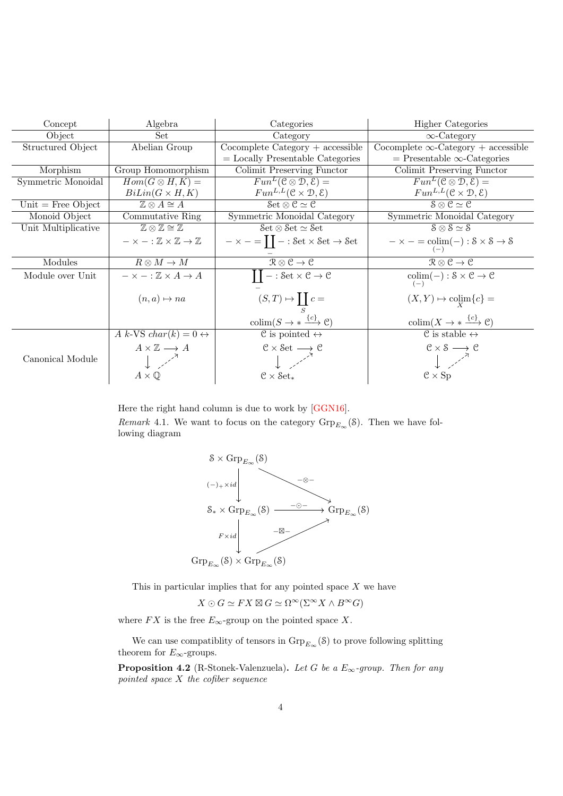| Concept              | Algebra                                                          | Categories                                                                            | <b>Higher Categories</b>                                                              |
|----------------------|------------------------------------------------------------------|---------------------------------------------------------------------------------------|---------------------------------------------------------------------------------------|
| Object               | Set                                                              | Category                                                                              | $\infty$ -Category                                                                    |
| Structured Object    | Abelian Group                                                    | $Cocomplete$ Category + accessible                                                    | Cocomplete $\infty$ -Category + accessible                                            |
|                      |                                                                  | $=$ Locally Presentable Categories                                                    | $=$ Presentable $\infty$ -Categories                                                  |
| Morphism             | Group Homomorphism                                               | Colimit Preserving Functor                                                            | Colimit Preserving Functor                                                            |
| Symmetric Monoidal   | $Hom(G \otimes H, K) =$                                          | $Fun^L( \mathcal{C} \otimes \mathcal{D}, \mathcal{E}) =$                              | $Fun^L(\mathcal{C} \otimes \mathcal{D}, \mathcal{E}) =$                               |
|                      | $BiLin(G \times H, K)$                                           | $Fun^{L,L}(\mathcal{C} \times \mathcal{D}, \mathcal{E})$                              | $Fun^{L,L}(\mathcal{C} \times \mathcal{D}, \mathcal{E})$                              |
| Unit $=$ Free Object | $\mathbb{Z} \otimes A \cong A$                                   | Set $\otimes$ C $\simeq$ C                                                            | $S \otimes C \simeq C$                                                                |
| Monoid Object        | Commutative Ring                                                 | Symmetric Monoidal Category                                                           | Symmetric Monoidal Category                                                           |
| Unit Multiplicative  | $\mathbb{Z} \otimes \mathbb{Z} \cong \mathbb{Z}$                 | $\mathcal{S}\mathrm{et} \otimes \mathcal{S}\mathrm{et} \simeq \mathcal{S}\mathrm{et}$ | $S \otimes S \simeq S$                                                                |
|                      | $-\times -: \mathbb{Z} \times \mathbb{Z} \rightarrow \mathbb{Z}$ | $-\times - = \prod - : \mathsf{Set} \times \mathsf{Set} \rightarrow \mathsf{Set}$     | $-\times - = \text{colim}(-): \mathcal{S} \times \mathcal{S} \rightarrow \mathcal{S}$ |
| Modules              | $R \otimes M \to M$                                              | $\mathcal{R}\otimes\mathcal{C}\to\mathcal{C}$                                         | $\mathcal{R}\otimes\mathcal{C}\to\mathcal{C}$                                         |
| Module over Unit     | $- \times - : \mathbb{Z} \times A \rightarrow A$                 | $II - : Set \times C \rightarrow C$                                                   | $\mathrm{colim}(-): \mathcal{S} \times \mathcal{C} \rightarrow \mathcal{C}$           |
|                      | $(n,a) \mapsto na$                                               | $(S,T) \mapsto \coprod_S c =$                                                         | $(X,Y) \mapsto \operatorname{colim}_{Y} \{c\} =$                                      |
|                      |                                                                  | $\text{colim}(S \to * \xrightarrow{\{c\}} \mathcal{C})$                               | $\text{colim}(X \to * \xrightarrow{\{c\}} \mathcal{C})$                               |
|                      | A k-VS char(k) = $0 \leftrightarrow$                             | $\mathcal C$ is pointed $\leftrightarrow$                                             | $\overline{C}$ is stable $\leftrightarrow$                                            |
|                      | $A \times \mathbb{Z} \longrightarrow A$                          |                                                                                       | $\mathcal{C}\times\mathcal{S}\longrightarrow\mathcal{C}$                              |
| Canonical Module     |                                                                  | $C \times$ Set $\longrightarrow C$                                                    | $\begin{bmatrix} 1 & 1 \end{bmatrix}$                                                 |
|                      | $A\times\mathbb{Q}$                                              | $C \times$ Set <sub>*</sub>                                                           | $C \times Sp$                                                                         |

Here the right hand column is due to work by [\[GGN16\]](#page-8-6).

*Remark* 4.1. We want to focus on the category  $\mathrm{Grp}_{E_{\infty}}(\mathcal{S})$ . Then we have following diagram



This in particular implies that for any pointed space  $X$  we have

 $X \odot G \simeq FX \boxtimes G \simeq \Omega^{\infty}(\Sigma^{\infty}X \wedge B^{\infty}G)$ 

where  $FX$  is the free  $E_{\infty}\text{-group}$  on the pointed space  $X.$ 

We can use compatiblity of tensors in  $\mathrm{Grp}_{E_{\infty}}(\mathcal{S})$  to prove following splitting theorem for  $E_{\infty}$ -groups.

**Proposition 4.2** (R-Stonek-Valenzuela). Let G be a  $E_{\infty}$ -group. Then for any pointed space  $X$  the cofiber sequence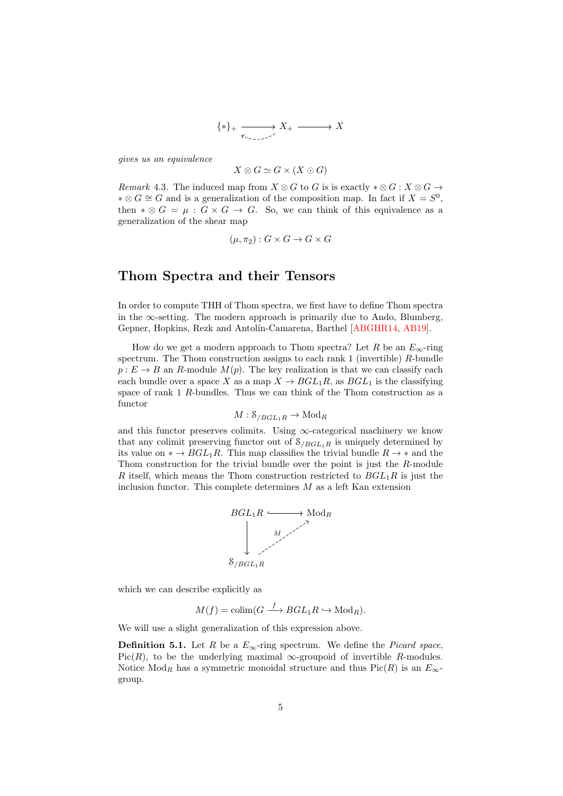$$
\{\ast\}_+ \xrightarrow[\ast\circ\cdot\circ\cdot\circ\cdot]{} X_+ \xrightarrow[\ast\circ\cdot\circ\cdot]{} X
$$

gives us an equivalence

$$
X \otimes G \simeq G \times (X \odot G)
$$

Remark 4.3. The induced map from  $X \otimes G$  to G is is exactly  $*\otimes G : X \otimes G \rightarrow$ ∗ ⊗  $G \cong G$  and is a generalization of the composition map. In fact if  $X = S^0$ , then  $* \otimes G = \mu : G \times G \rightarrow G$ . So, we can think of this equivalence as a generalization of the shear map

$$
(\mu, \pi_2) : G \times G \to G \times G
$$

#### Thom Spectra and their Tensors

In order to compute THH of Thom spectra, we first have to define Thom spectra in the  $\infty$ -setting. The modern approach is primarily due to Ando, Blumberg, Gepner, Hopkins, Rezk and Antolín-Camarena, Barthel [\[ABGHR14,](#page-8-7) [AB19\]](#page-8-8).

How do we get a modern approach to Thom spectra? Let R be an  $E_{\infty}$ -ring spectrum. The Thom construction assigns to each rank 1 (invertible)  $R$ -bundle  $p: E \to B$  an R-module  $M(p)$ . The key realization is that we can classify each each bundle over a space X as a map  $X \to BGL_1R$ , as  $BGL_1$  is the classifying space of rank 1 R-bundles. Thus we can think of the Thom construction as a functor

$$
M: \mathcal{S}_{/BGL_1R} \to \mathrm{Mod}_R
$$

and this functor preserves colimits. Using  $\infty$ -categorical machinery we know that any colimit preserving functor out of  $S_{/BGL_1R}$  is uniquely determined by its value on  $* \to BGL_1R$ . This map classifies the trivial bundle  $R \to *$  and the Thom construction for the trivial bundle over the point is just the R-module R itself, which means the Thom construction restricted to  $BGL_1R$  is just the inclusion functor. This complete determines  $M$  as a left Kan extension



which we can describe explicitly as

$$
M(f) = \text{colim}(G \xrightarrow{f} BGL_1R \hookrightarrow \text{Mod}_R).
$$

We will use a slight generalization of this expression above.

**Definition 5.1.** Let R be a  $E_{\infty}$ -ring spectrum. We define the *Picard space*, Pic(R), to be the underlying maximal  $\infty$ -groupoid of invertible R-modules. Notice Mod<sub>R</sub> has a symmetric monoidal structure and thus Pic(R) is an  $E_{\infty}$ group.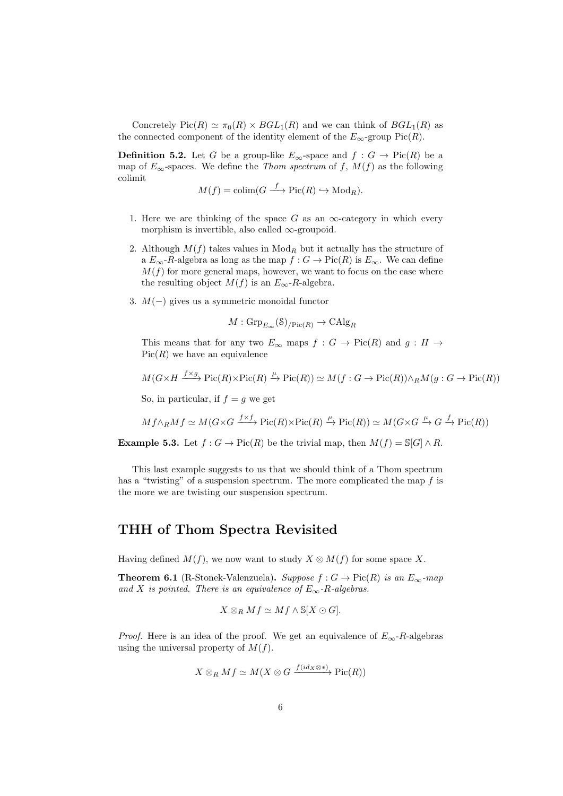Concretely  $Pic(R) \simeq \pi_0(R) \times BGL_1(R)$  and we can think of  $BGL_1(R)$  as the connected component of the identity element of the  $E_{\infty}$ -group Pic $(R)$ .

**Definition 5.2.** Let G be a group-like  $E_{\infty}$ -space and  $f : G \to Pic(R)$  be a map of  $E_{\infty}$ -spaces. We define the Thom spectrum of f,  $M(f)$  as the following colimit

$$
M(f) = \text{colim}(G \xrightarrow{f} \text{Pic}(R) \hookrightarrow \text{Mod}_R).
$$

- 1. Here we are thinking of the space G as an  $\infty$ -category in which every morphism is invertible, also called  $\infty$ -groupoid.
- 2. Although  $M(f)$  takes values in  $\text{Mod}_R$  but it actually has the structure of a  $E_{\infty}$ -R-algebra as long as the map  $f : G \to Pic(R)$  is  $E_{\infty}$ . We can define  $M(f)$  for more general maps, however, we want to focus on the case where the resulting object  $M(f)$  is an  $E_{\infty}$ -R-algebra.
- 3.  $M(-)$  gives us a symmetric monoidal functor

$$
M: \mathrm{Grp}_{E_{\infty}}(\mathcal{S})_{/\mathrm{Pic}(R)} \to \mathrm{CAlg}_R
$$

This means that for any two  $E_{\infty}$  maps  $f : G \to Pic(R)$  and  $g : H \to$  $Pic(R)$  we have an equivalence

$$
M(G \times H \xrightarrow{f \times g} Pic(R) \times Pic(R) \xrightarrow{\mu} Pic(R)) \simeq M(f:G \to Pic(R)) \wedge_R M(g:G \to Pic(R))
$$

So, in particular, if  $f = g$  we get

$$
Mf \wedge_R Mf \simeq M(G \times G \xrightarrow{f \times f} \text{Pic}(R) \times \text{Pic}(R) \xrightarrow{\mu} \text{Pic}(R)) \simeq M(G \times G \xrightarrow{\mu} G \xrightarrow{f} \text{Pic}(R))
$$

**Example 5.3.** Let  $f : G \to Pic(R)$  be the trivial map, then  $M(f) = \mathbb{S}[G] \wedge R$ .

This last example suggests to us that we should think of a Thom spectrum has a "twisting" of a suspension spectrum. The more complicated the map  $f$  is the more we are twisting our suspension spectrum.

# THH of Thom Spectra Revisited

Having defined  $M(f)$ , we now want to study  $X \otimes M(f)$  for some space X.

**Theorem 6.1** (R-Stonek-Valenzuela). Suppose  $f : G \to Pic(R)$  is an  $E_{\infty}$ -map and X is pointed. There is an equivalence of  $E_{\infty}$ -R-algebras.

$$
X\otimes_R Mf \simeq Mf\wedge \mathbb{S}[X\odot G].
$$

*Proof.* Here is an idea of the proof. We get an equivalence of  $E_{\infty}$ -R-algebras using the universal property of  $M(f)$ .

$$
X \otimes_R Mf \simeq M(X \otimes G \xrightarrow{f(id_X \otimes *)} \mathrm{Pic}(R))
$$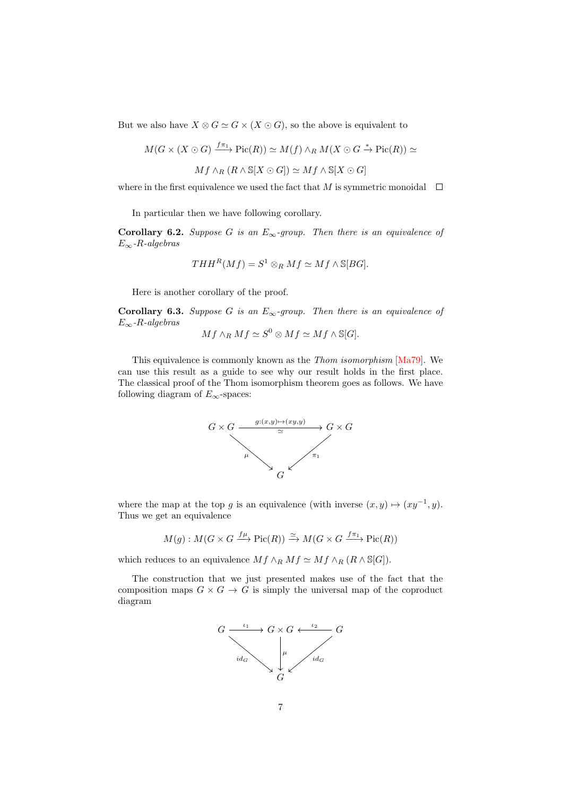But we also have  $X \otimes G \simeq G \times (X \odot G)$ , so the above is equivalent to

$$
M(G \times (X \odot G) \xrightarrow{f\pi_1} \text{Pic}(R)) \simeq M(f) \wedge_R M(X \odot G \xrightarrow{*} \text{Pic}(R)) \simeq
$$

$$
Mf \wedge_R (R \wedge \mathbb{S}[X \odot G]) \simeq Mf \wedge \mathbb{S}[X \odot G]
$$

where in the first equivalence we used the fact that M is symmetric monoidal  $\Box$ 

In particular then we have following corollary.

Corollary 6.2. Suppose G is an  $E_{\infty}$ -group. Then there is an equivalence of  $E_{\infty}$ -R-algebras

$$
THH^R(Mf) = S^1 \otimes_R Mf \simeq Mf \wedge \mathbb{S}[BG].
$$

Here is another corollary of the proof.

**Corollary 6.3.** Suppose G is an  $E_{\infty}$ -group. Then there is an equivalence of  $E_{\infty}$ -R-algebras

$$
Mf \wedge_R Mf \simeq S^0 \otimes Mf \simeq Mf \wedge \mathbb{S}[G].
$$

This equivalence is commonly known as the Thom isomorphism [\[Ma79\]](#page-8-9). We can use this result as a guide to see why our result holds in the first place. The classical proof of the Thom isomorphism theorem goes as follows. We have following diagram of  $E_{\infty}$ -spaces:



where the map at the top g is an equivalence (with inverse  $(x, y) \mapsto (xy^{-1}, y)$ . Thus we get an equivalence

$$
M(g): M(G \times G \xrightarrow{f\mu} \text{Pic}(R)) \xrightarrow{\simeq} M(G \times G \xrightarrow{f\pi_1} \text{Pic}(R))
$$

which reduces to an equivalence  $Mf \wedge_R Mf \simeq Mf \wedge_R (R \wedge \mathbb{S}[G]).$ 

The construction that we just presented makes use of the fact that the composition maps  $G \times G \to G$  is simply the universal map of the coproduct diagram

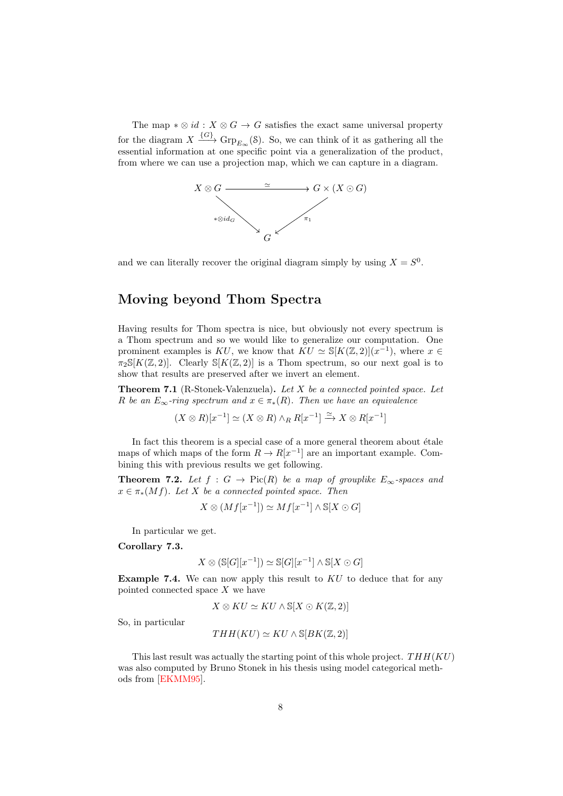The map  $*\otimes id : X \otimes G \to G$  satisfies the exact same universal property for the diagram  $X \xrightarrow{\{G\}} \operatorname{Grp}_{E_{\infty}}(\mathcal{S})$ . So, we can think of it as gathering all the essential information at one specific point via a generalization of the product, from where we can use a projection map, which we can capture in a diagram.



and we can literally recover the original diagram simply by using  $X = S^0$ .

# Moving beyond Thom Spectra

Having results for Thom spectra is nice, but obviously not every spectrum is a Thom spectrum and so we would like to generalize our computation. One prominent examples is KU, we know that  $\overline{KU} \simeq \mathbb{S}[K(\mathbb{Z}, 2)](x^{-1})$ , where  $x \in$  $\pi_2\mathbb{S}[K(\mathbb{Z},2)]$ . Clearly  $\mathbb{S}[K(\mathbb{Z},2)]$  is a Thom spectrum, so our next goal is to show that results are preserved after we invert an element.

**Theorem 7.1** (R-Stonek-Valenzuela). Let  $X$  be a connected pointed space. Let R be an  $E_{\infty}$ -ring spectrum and  $x \in \pi_*(R)$ . Then we have an equivalence

$$
(X \otimes R)[x^{-1}] \simeq (X \otimes R) \wedge_R R[x^{-1}] \xrightarrow{\simeq} X \otimes R[x^{-1}]
$$

In fact this theorem is a special case of a more general theorem about  $\acute{e}t$  ale maps of which maps of the form  $R \to R[x^{-1}]$  are an important example. Combining this with previous results we get following.

**Theorem 7.2.** Let  $f : G \to Pic(R)$  be a map of grouplike  $E_{\infty}$ -spaces and  $x \in \pi_*(Mf)$ . Let X be a connected pointed space. Then

$$
X \otimes (Mf[x^{-1}]) \simeq Mf[x^{-1}] \wedge \mathbb{S}[X \odot G]
$$

In particular we get.

Corollary 7.3.

$$
X \otimes (\mathbb{S}[G][x^{-1}]) \simeq \mathbb{S}[G][x^{-1}] \wedge \mathbb{S}[X \odot G]
$$

**Example 7.4.** We can now apply this result to  $KU$  to deduce that for any pointed connected space X we have

$$
X \otimes KU \simeq KU \wedge \mathbb{S}[X \odot K(\mathbb{Z}, 2)]
$$

So, in particular

$$
THH(KU) \simeq KU \wedge \mathbb{S}[BK(\mathbb{Z}, 2)]
$$

This last result was actually the starting point of this whole project.  $THH(KU)$ was also computed by Bruno Stonek in his thesis using model categorical methods from [\[EKMM95\]](#page-8-1).